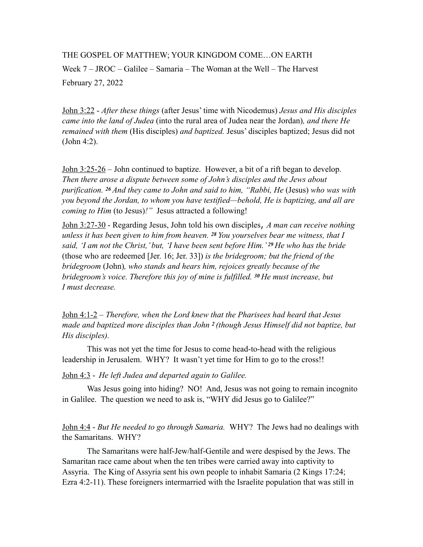## THE GOSPEL OF MATTHEW; YOUR KINGDOM COME…ON EARTH

Week 7 – JROC – Galilee – Samaria – The Woman at the Well – The Harvest February 27, 2022

John 3:22 - *After these things* (after Jesus' time with Nicodemus) *Jesus and His disciples came into the land of Judea* (into the rural area of Judea near the Jordan)*, and there He remained with them* (His disciples) *and baptized.* Jesus' disciples baptized; Jesus did not (John 4:2).

John 3:25-26 – John continued to baptize. However, a bit of a rift began to develop. *Then there arose a dispute between some of John's disciples and the Jews about purification. 26 And they came to John and said to him, "Rabbi, He* (Jesus) *who was with you beyond the Jordan, to whom you have testified—behold, He is baptizing, and all are coming to Him* (to Jesus)*!"* Jesus attracted a following!

John 3:27-30 - Regarding Jesus, John told his own disciples, *A man can receive nothing unless it has been given to him from heaven. 28 You yourselves bear me witness, that I said, 'I am not the Christ,' but, 'I have been sent before Him.' 29 He who has the bride*  (those who are redeemed [Jer. 16; Jer. 33]) *is the bridegroom; but the friend of the bridegroom* (John)*, who stands and hears him, rejoices greatly because of the bridegroom's voice. Therefore this joy of mine is fulfilled. 30 He must increase, but I must decrease.* 

John 4:1-2 – *Therefore, when the Lord knew that the Pharisees had heard that Jesus made and baptized more disciples than John 2 (though Jesus Himself did not baptize, but His disciples).* 

This was not yet the time for Jesus to come head-to-head with the religious leadership in Jerusalem.WHY? It wasn't yet time for Him to go to the cross!!

John 4:3 - *He left Judea and departed again to Galilee.* 

Was Jesus going into hiding? NO! And, Jesus was not going to remain incognito in Galilee. The question we need to ask is, "WHY did Jesus go to Galilee?"

John 4:4 - *But He needed to go through Samaria.* WHY? The Jews had no dealings with the Samaritans. WHY?

The Samaritans were half-Jew/half-Gentile and were despised by the Jews. The Samaritan race came about when the ten tribes were carried away into captivity to Assyria. The King of Assyria sent his own people to inhabit Samaria (2 Kings 17:24; Ezra 4:2-11). These foreigners intermarried with the Israelite population that was still in